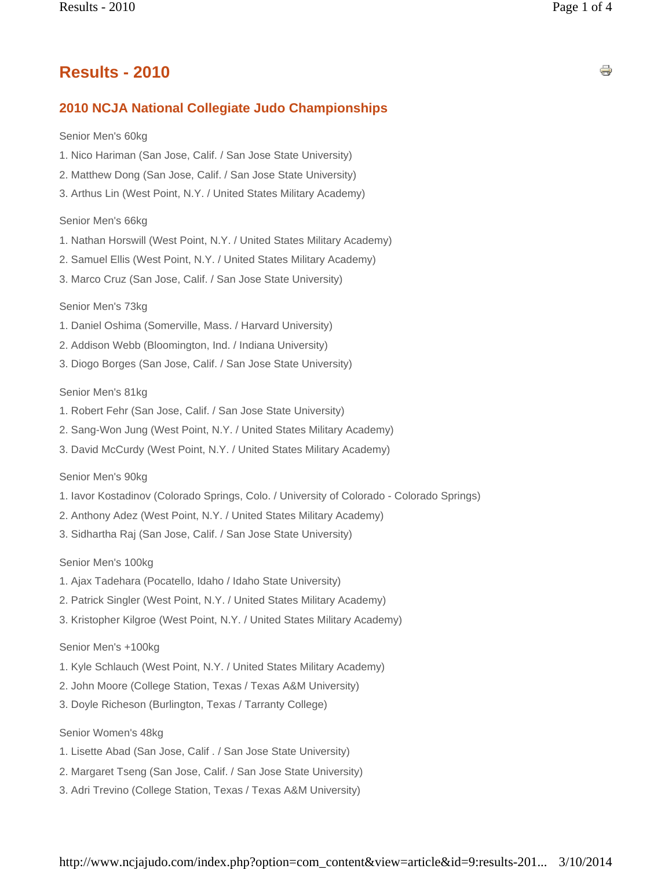# **Results - 2010**

## **2010 NCJA National Collegiate Judo Championships**

#### Senior Men's 60kg

- 1. Nico Hariman (San Jose, Calif. / San Jose State University)
- 2. Matthew Dong (San Jose, Calif. / San Jose State University)
- 3. Arthus Lin (West Point, N.Y. / United States Military Academy)

#### Senior Men's 66kg

- 1. Nathan Horswill (West Point, N.Y. / United States Military Academy)
- 2. Samuel Ellis (West Point, N.Y. / United States Military Academy)
- 3. Marco Cruz (San Jose, Calif. / San Jose State University)

#### Senior Men's 73kg

- 1. Daniel Oshima (Somerville, Mass. / Harvard University)
- 2. Addison Webb (Bloomington, Ind. / Indiana University)
- 3. Diogo Borges (San Jose, Calif. / San Jose State University)

#### Senior Men's 81kg

- 1. Robert Fehr (San Jose, Calif. / San Jose State University)
- 2. Sang-Won Jung (West Point, N.Y. / United States Military Academy)
- 3. David McCurdy (West Point, N.Y. / United States Military Academy)

#### Senior Men's 90kg

- 1. Iavor Kostadinov (Colorado Springs, Colo. / University of Colorado Colorado Springs)
- 2. Anthony Adez (West Point, N.Y. / United States Military Academy)
- 3. Sidhartha Raj (San Jose, Calif. / San Jose State University)

Senior Men's 100kg

- 1. Ajax Tadehara (Pocatello, Idaho / Idaho State University)
- 2. Patrick Singler (West Point, N.Y. / United States Military Academy)
- 3. Kristopher Kilgroe (West Point, N.Y. / United States Military Academy)

#### Senior Men's +100kg

- 1. Kyle Schlauch (West Point, N.Y. / United States Military Academy)
- 2. John Moore (College Station, Texas / Texas A&M University)
- 3. Doyle Richeson (Burlington, Texas / Tarranty College)

Senior Women's 48kg

- 1. Lisette Abad (San Jose, Calif . / San Jose State University)
- 2. Margaret Tseng (San Jose, Calif. / San Jose State University)
- 3. Adri Trevino (College Station, Texas / Texas A&M University)

s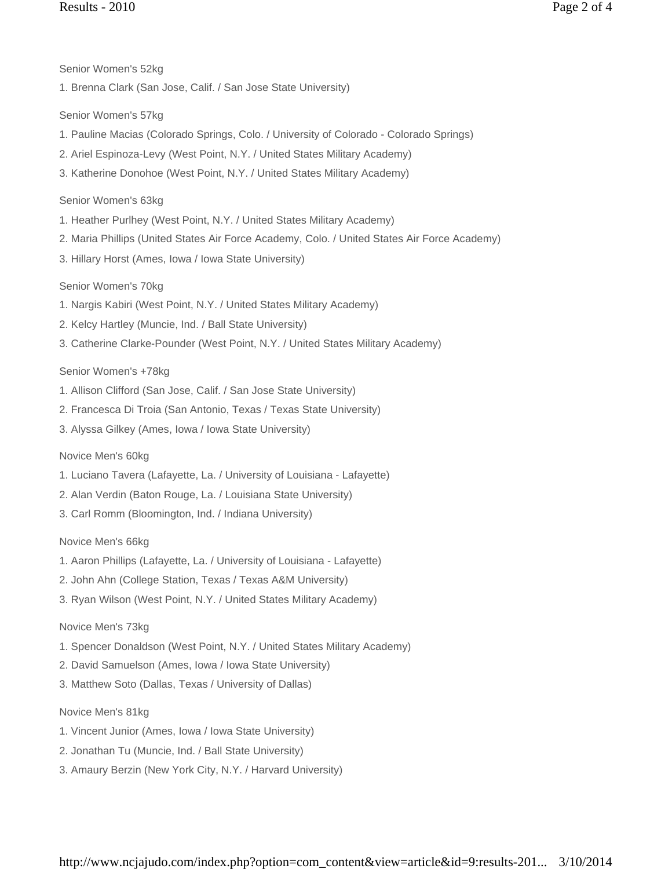- Senior Women's 52kg
- 1. Brenna Clark (San Jose, Calif. / San Jose State University)

Senior Women's 57kg

- 1. Pauline Macias (Colorado Springs, Colo. / University of Colorado Colorado Springs)
- 2. Ariel Espinoza-Levy (West Point, N.Y. / United States Military Academy)
- 3. Katherine Donohoe (West Point, N.Y. / United States Military Academy)

Senior Women's 63kg

- 1. Heather Purlhey (West Point, N.Y. / United States Military Academy)
- 2. Maria Phillips (United States Air Force Academy, Colo. / United States Air Force Academy)
- 3. Hillary Horst (Ames, Iowa / Iowa State University)

Senior Women's 70kg

- 1. Nargis Kabiri (West Point, N.Y. / United States Military Academy)
- 2. Kelcy Hartley (Muncie, Ind. / Ball State University)
- 3. Catherine Clarke-Pounder (West Point, N.Y. / United States Military Academy)

## Senior Women's +78kg

- 1. Allison Clifford (San Jose, Calif. / San Jose State University)
- 2. Francesca Di Troia (San Antonio, Texas / Texas State University)
- 3. Alyssa Gilkey (Ames, Iowa / Iowa State University)

Novice Men's 60kg

- 1. Luciano Tavera (Lafayette, La. / University of Louisiana Lafayette)
- 2. Alan Verdin (Baton Rouge, La. / Louisiana State University)
- 3. Carl Romm (Bloomington, Ind. / Indiana University)

Novice Men's 66kg

- 1. Aaron Phillips (Lafayette, La. / University of Louisiana Lafayette)
- 2. John Ahn (College Station, Texas / Texas A&M University)
- 3. Ryan Wilson (West Point, N.Y. / United States Military Academy)

## Novice Men's 73kg

- 1. Spencer Donaldson (West Point, N.Y. / United States Military Academy)
- 2. David Samuelson (Ames, Iowa / Iowa State University)
- 3. Matthew Soto (Dallas, Texas / University of Dallas)

Novice Men's 81kg

- 1. Vincent Junior (Ames, Iowa / Iowa State University)
- 2. Jonathan Tu (Muncie, Ind. / Ball State University)
- 3. Amaury Berzin (New York City, N.Y. / Harvard University)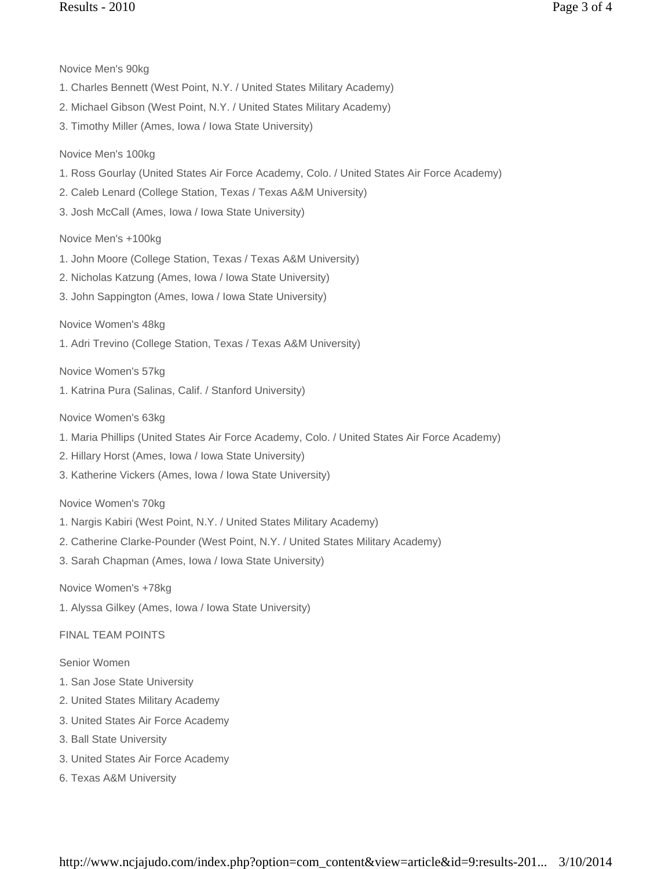Novice Men's 90kg

- 1. Charles Bennett (West Point, N.Y. / United States Military Academy)
- 2. Michael Gibson (West Point, N.Y. / United States Military Academy)
- 3. Timothy Miller (Ames, Iowa / Iowa State University)

## Novice Men's 100kg

- 1. Ross Gourlay (United States Air Force Academy, Colo. / United States Air Force Academy)
- 2. Caleb Lenard (College Station, Texas / Texas A&M University)
- 3. Josh McCall (Ames, Iowa / Iowa State University)

### Novice Men's +100kg

- 1. John Moore (College Station, Texas / Texas A&M University)
- 2. Nicholas Katzung (Ames, Iowa / Iowa State University)
- 3. John Sappington (Ames, Iowa / Iowa State University)

### Novice Women's 48kg

1. Adri Trevino (College Station, Texas / Texas A&M University)

Novice Women's 57kg

1. Katrina Pura (Salinas, Calif. / Stanford University)

Novice Women's 63kg

- 1. Maria Phillips (United States Air Force Academy, Colo. / United States Air Force Academy)
- 2. Hillary Horst (Ames, Iowa / Iowa State University)
- 3. Katherine Vickers (Ames, Iowa / Iowa State University)

### Novice Women's 70kg

- 1. Nargis Kabiri (West Point, N.Y. / United States Military Academy)
- 2. Catherine Clarke-Pounder (West Point, N.Y. / United States Military Academy)
- 3. Sarah Chapman (Ames, Iowa / Iowa State University)

### Novice Women's +78kg

1. Alyssa Gilkey (Ames, Iowa / Iowa State University)

## FINAL TEAM POINTS

### Senior Women

- 1. San Jose State University
- 2. United States Military Academy
- 3. United States Air Force Academy
- 3. Ball State University
- 3. United States Air Force Academy
- 6. Texas A&M University